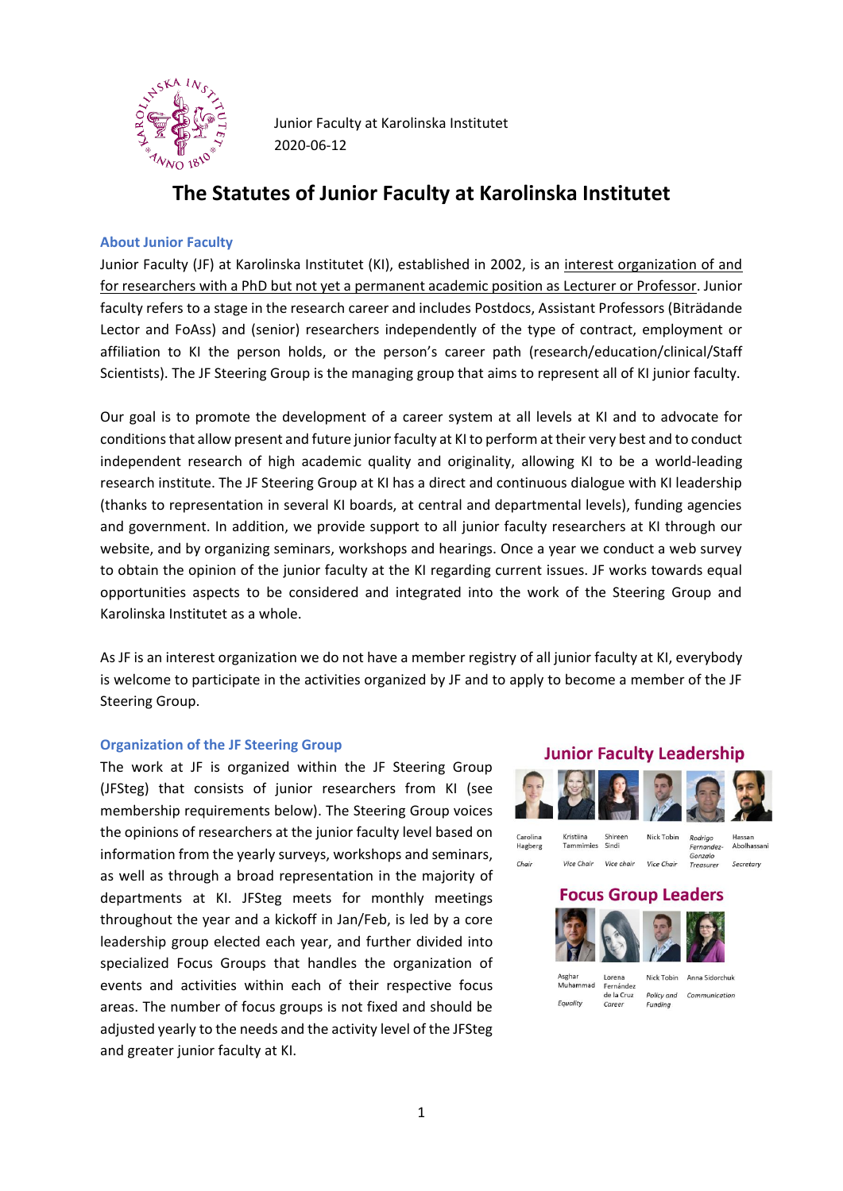

Junior Faculty at Karolinska Institutet 2020-06-12

# **The Statutes of Junior Faculty at Karolinska Institutet**

### **About Junior Faculty**

Junior Faculty (JF) at Karolinska Institutet (KI), established in 2002, is an interest organization of and for researchers with a PhD but not yet a permanent academic position as Lecturer or Professor. Junior faculty refers to a stage in the research career and includes Postdocs, Assistant Professors (Biträdande Lector and FoAss) and (senior) researchers independently of the type of contract, employment or affiliation to KI the person holds, or the person's career path (research/education/clinical/Staff Scientists). The JF Steering Group is the managing group that aims to represent all of KI junior faculty.

Our goal is to promote the development of a career system at all levels at KI and to advocate for conditions that allow present and future junior faculty at KI to perform at their very best and to conduct independent research of high academic quality and originality, allowing KI to be a world-leading research institute. The JF Steering Group at KI has a direct and continuous dialogue with KI leadership (thanks to representation in several KI boards, at central and departmental levels), funding agencies and government. In addition, we provide support to all junior faculty researchers at KI through our website, and by organizing seminars, workshops and hearings. Once a year we conduct a web survey to obtain the opinion of the junior faculty at the KI regarding current issues. JF works towards equal opportunities aspects to be considered and integrated into the work of the Steering Group and Karolinska Institutet as a whole.

As JF is an interest organization we do not have a member registry of all junior faculty at KI, everybody is welcome to participate in the activities organized by JF and to apply to become a member of the JF Steering Group.

#### **Organization of the JF Steering Group**

The work at JF is organized within the JF Steering Group (JFSteg) that consists of junior researchers from KI (see membership requirements below). The Steering Group voices the opinions of researchers at the junior faculty level based on information from the yearly surveys, workshops and seminars, as well as through a broad representation in the majority of departments at KI. JFSteg meets for monthly meetings throughout the year and a kickoff in Jan/Feb, is led by a core leadership group elected each year, and further divided into specialized Focus Groups that handles the organization of events and activities within each of their respective focus areas. The number of focus groups is not fixed and should be adjusted yearly to the needs and the activity level of the JFSteg and greater junior faculty at KI.

# **Junior Faculty Leadership**



Nick Tobin

Rodrigo

Caroline Kristiina Tammimies Sindi Hagberg Chair Vice Chair Vice chair

Vice Chair

Shireen

Fernandez-Gonzalo Secretary Treasurer

# **Focus Group Leaders**

Nick Tobin Anna Sidorchuk Lorena Muhammad Fernández de la Cruz Policy and Communication Fauality Funding

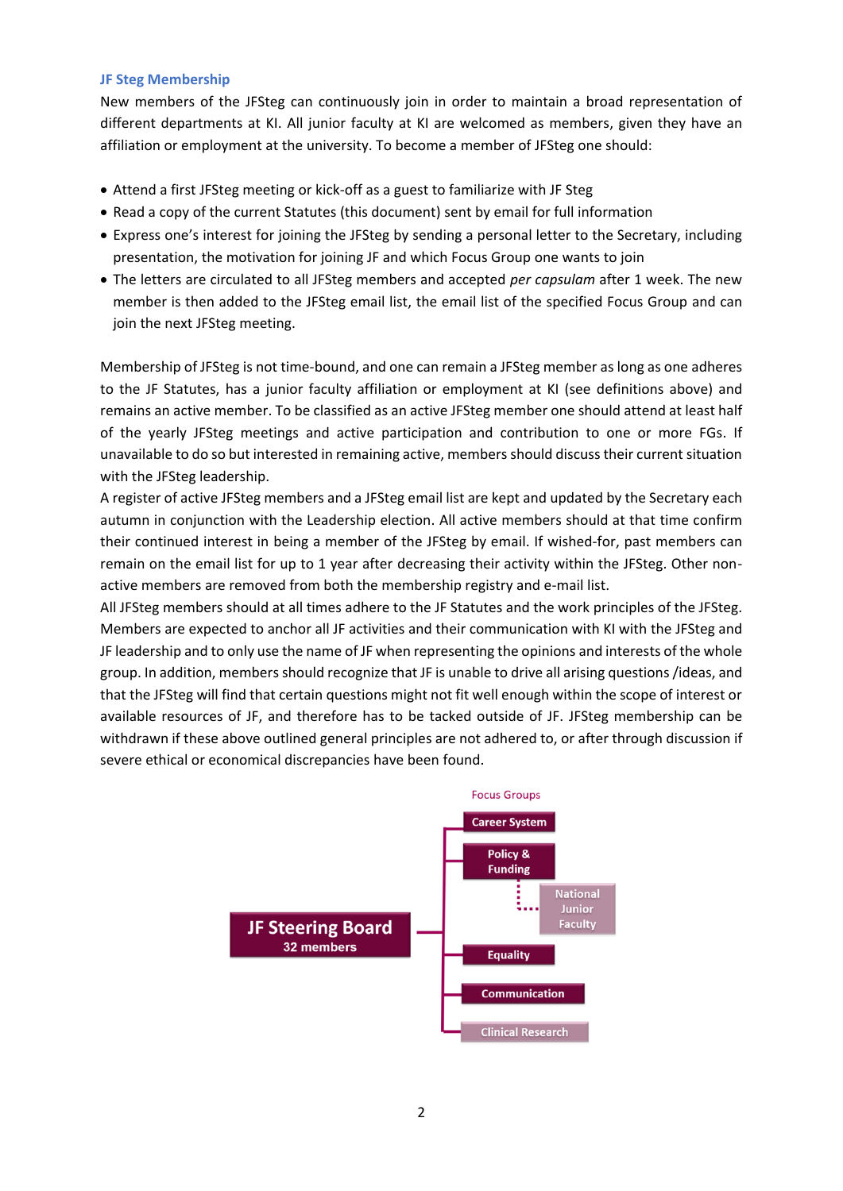### **JF Steg Membership**

New members of the JFSteg can continuously join in order to maintain a broad representation of different departments at KI. All junior faculty at KI are welcomed as members, given they have an affiliation or employment at the university. To become a member of JFSteg one should:

- Attend a first JFSteg meeting or kick-off as a guest to familiarize with JF Steg
- Read a copy of the current Statutes (this document) sent by email for full information
- Express one's interest for joining the JFSteg by sending a personal letter to the Secretary, including presentation, the motivation for joining JF and which Focus Group one wants to join
- The letters are circulated to all JFSteg members and accepted *per capsulam* after 1 week. The new member is then added to the JFSteg email list, the email list of the specified Focus Group and can join the next JFSteg meeting.

Membership of JFSteg is not time-bound, and one can remain a JFSteg member as long as one adheres to the JF Statutes, has a junior faculty affiliation or employment at KI (see definitions above) and remains an active member. To be classified as an active JFSteg member one should attend at least half of the yearly JFSteg meetings and active participation and contribution to one or more FGs. If unavailable to do so but interested in remaining active, members should discuss their current situation with the JFSteg leadership.

A register of active JFSteg members and a JFSteg email list are kept and updated by the Secretary each autumn in conjunction with the Leadership election. All active members should at that time confirm their continued interest in being a member of the JFSteg by email. If wished-for, past members can remain on the email list for up to 1 year after decreasing their activity within the JFSteg. Other nonactive members are removed from both the membership registry and e-mail list.

All JFSteg members should at all times adhere to the JF Statutes and the work principles of the JFSteg. Members are expected to anchor all JF activities and their communication with KI with the JFSteg and JF leadership and to only use the name of JF when representing the opinions and interests of the whole group. In addition, members should recognize that JF is unable to drive all arising questions /ideas, and that the JFSteg will find that certain questions might not fit well enough within the scope of interest or available resources of JF, and therefore has to be tacked outside of JF. JFSteg membership can be withdrawn if these above outlined general principles are not adhered to, or after through discussion if severe ethical or economical discrepancies have been found.

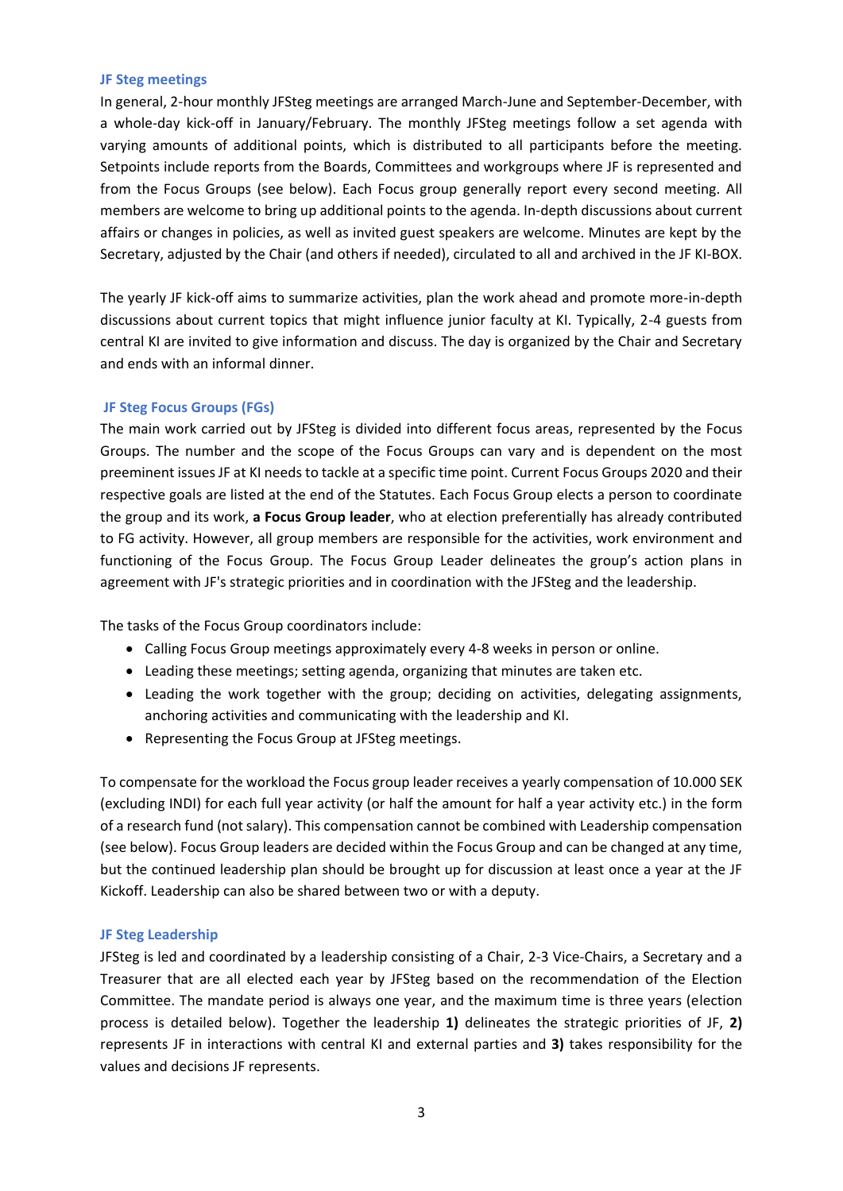#### **JF Steg meetings**

In general, 2-hour monthly JFSteg meetings are arranged March-June and September-December, with a whole-day kick-off in January/February. The monthly JFSteg meetings follow a set agenda with varying amounts of additional points, which is distributed to all participants before the meeting. Setpoints include reports from the Boards, Committees and workgroups where JF is represented and from the Focus Groups (see below). Each Focus group generally report every second meeting. All members are welcome to bring up additional points to the agenda. In-depth discussions about current affairs or changes in policies, as well as invited guest speakers are welcome. Minutes are kept by the Secretary, adjusted by the Chair (and others if needed), circulated to all and archived in the JF KI-BOX.

The yearly JF kick-off aims to summarize activities, plan the work ahead and promote more-in-depth discussions about current topics that might influence junior faculty at KI. Typically, 2-4 guests from central KI are invited to give information and discuss. The day is organized by the Chair and Secretary and ends with an informal dinner.

### **JF Steg Focus Groups (FGs)**

The main work carried out by JFSteg is divided into different focus areas, represented by the Focus Groups. The number and the scope of the Focus Groups can vary and is dependent on the most preeminent issues JF at KI needs to tackle at a specific time point. Current Focus Groups 2020 and their respective goals are listed at the end of the Statutes. Each Focus Group elects a person to coordinate the group and its work, **a Focus Group leader**, who at election preferentially has already contributed to FG activity. However, all group members are responsible for the activities, work environment and functioning of the Focus Group. The Focus Group Leader delineates the group's action plans in agreement with JF's strategic priorities and in coordination with the JFSteg and the leadership.

The tasks of the Focus Group coordinators include:

- Calling Focus Group meetings approximately every 4-8 weeks in person or online.
- Leading these meetings; setting agenda, organizing that minutes are taken etc.
- Leading the work together with the group; deciding on activities, delegating assignments, anchoring activities and communicating with the leadership and KI.
- Representing the Focus Group at JFSteg meetings.

To compensate for the workload the Focus group leader receives a yearly compensation of 10.000 SEK (excluding INDI) for each full year activity (or half the amount for half a year activity etc.) in the form of a research fund (not salary). This compensation cannot be combined with Leadership compensation (see below). Focus Group leaders are decided within the Focus Group and can be changed at any time, but the continued leadership plan should be brought up for discussion at least once a year at the JF Kickoff. Leadership can also be shared between two or with a deputy.

### **JF Steg Leadership**

JFSteg is led and coordinated by a leadership consisting of a Chair, 2-3 Vice-Chairs, a Secretary and a Treasurer that are all elected each year by JFSteg based on the recommendation of the Election Committee. The mandate period is always one year, and the maximum time is three years (election process is detailed below). Together the leadership **1)** delineates the strategic priorities of JF, **2)** represents JF in interactions with central KI and external parties and **3)** takes responsibility for the values and decisions JF represents.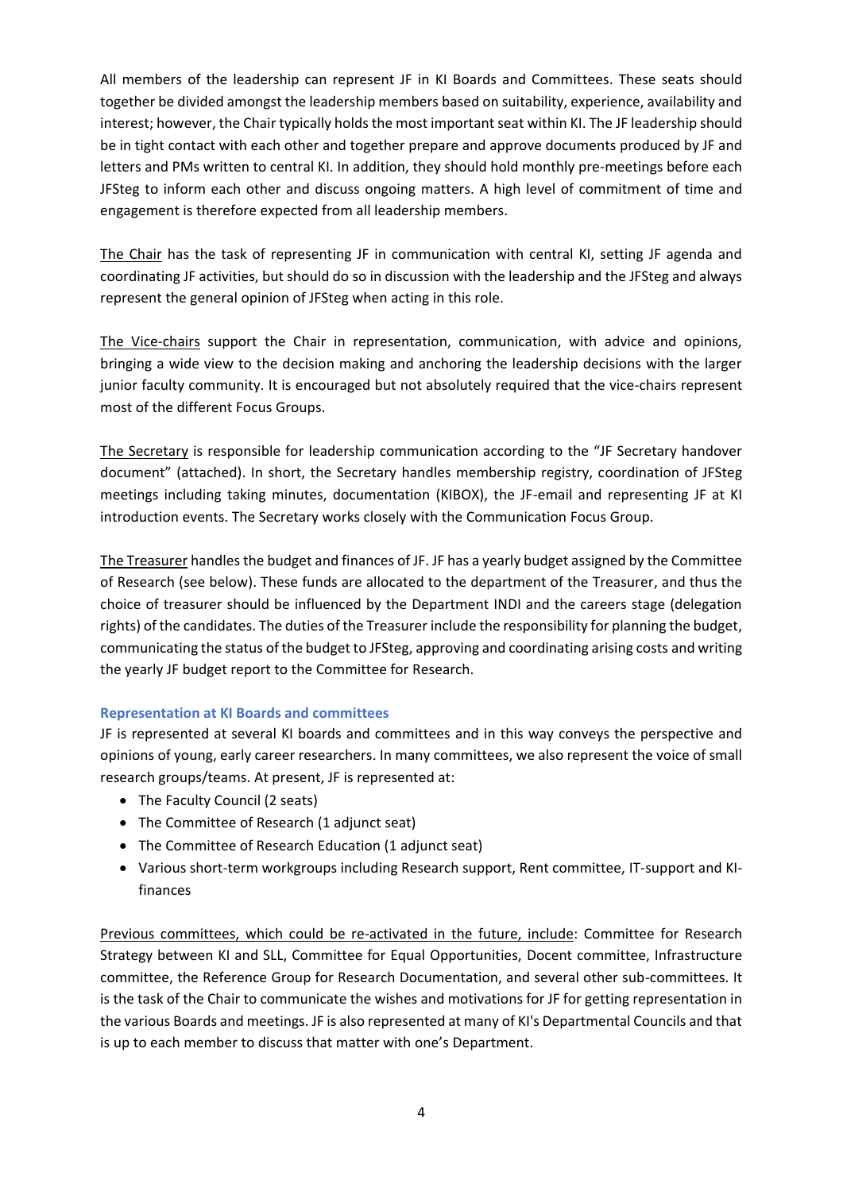All members of the leadership can represent JF in KI Boards and Committees. These seats should together be divided amongst the leadership members based on suitability, experience, availability and interest; however, the Chair typically holds the most important seat within KI. The JF leadership should be in tight contact with each other and together prepare and approve documents produced by JF and letters and PMs written to central KI. In addition, they should hold monthly pre-meetings before each JFSteg to inform each other and discuss ongoing matters. A high level of commitment of time and engagement is therefore expected from all leadership members.

The Chair has the task of representing JF in communication with central KI, setting JF agenda and coordinating JF activities, but should do so in discussion with the leadership and the JFSteg and always represent the general opinion of JFSteg when acting in this role.

The Vice-chairs support the Chair in representation, communication, with advice and opinions, bringing a wide view to the decision making and anchoring the leadership decisions with the larger junior faculty community. It is encouraged but not absolutely required that the vice-chairs represent most of the different Focus Groups.

The Secretary is responsible for leadership communication according to the "JF Secretary handover document" (attached). In short, the Secretary handles membership registry, coordination of JFSteg meetings including taking minutes, documentation (KIBOX), the JF-email and representing JF at KI introduction events. The Secretary works closely with the Communication Focus Group.

The Treasurer handles the budget and finances of JF. JF has a yearly budget assigned by the Committee of Research (see below). These funds are allocated to the department of the Treasurer, and thus the choice of treasurer should be influenced by the Department INDI and the careers stage (delegation rights) of the candidates. The duties of the Treasurer include the responsibility for planning the budget, communicating the status of the budget to JFSteg, approving and coordinating arising costs and writing the yearly JF budget report to the Committee for Research.

# **Representation at KI Boards and committees**

JF is represented at several KI boards and committees and in this way conveys the perspective and opinions of young, early career researchers. In many committees, we also represent the voice of small research groups/teams. At present, JF is represented at:

- The Faculty Council (2 seats)
- The Committee of Research (1 adjunct seat)
- The Committee of Research Education (1 adjunct seat)
- Various short-term workgroups including Research support, Rent committee, IT-support and KIfinances

Previous committees, which could be re-activated in the future, include: Committee for Research Strategy between KI and SLL, Committee for Equal Opportunities, Docent committee, Infrastructure committee, the Reference Group for Research Documentation, and several other sub-committees. It is the task of the Chair to communicate the wishes and motivations for JF for getting representation in the various Boards and meetings. JF is also represented at many of KI's Departmental Councils and that is up to each member to discuss that matter with one's Department.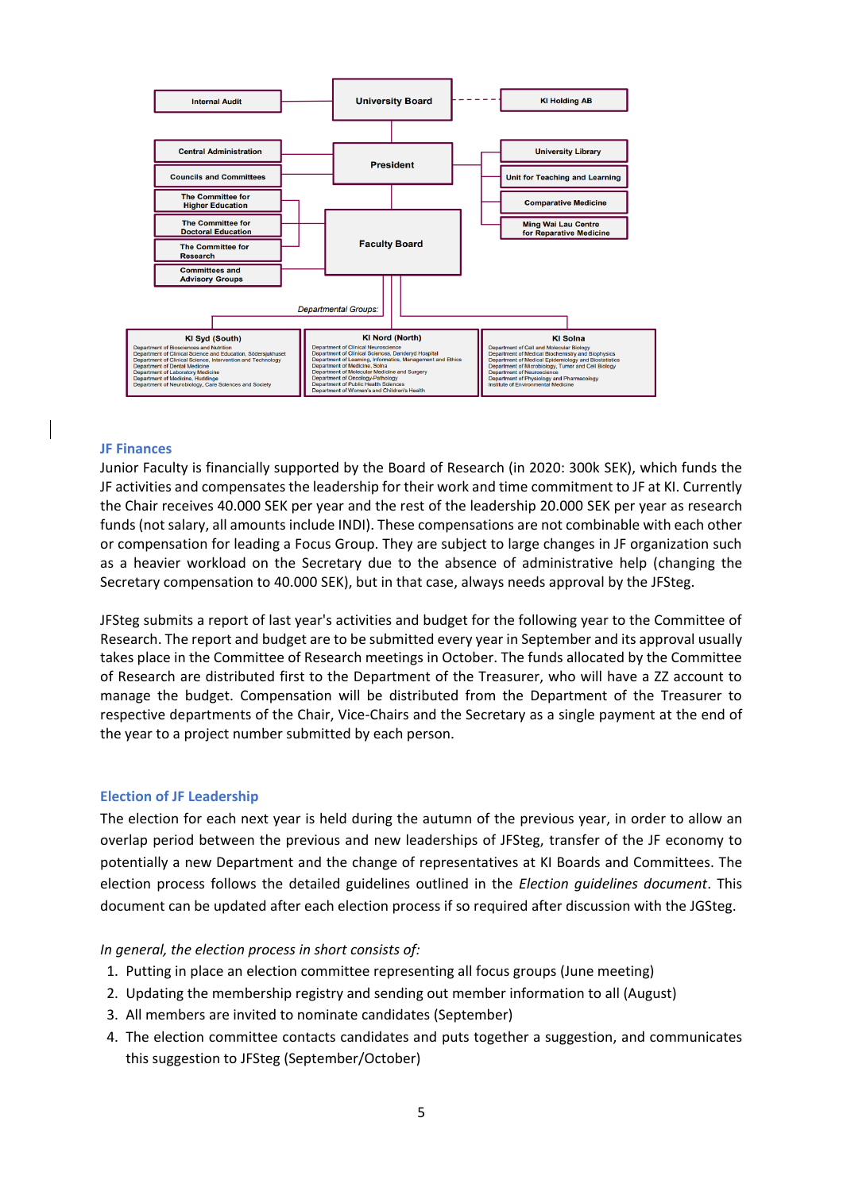

#### **JF Finances**

Junior Faculty is financially supported by the Board of Research (in 2020: 300k SEK), which funds the JF activities and compensates the leadership for their work and time commitment to JF at KI. Currently the Chair receives 40.000 SEK per year and the rest of the leadership 20.000 SEK per year as research funds (not salary, all amounts include INDI). These compensations are not combinable with each other or compensation for leading a Focus Group. They are subject to large changes in JF organization such as a heavier workload on the Secretary due to the absence of administrative help (changing the Secretary compensation to 40.000 SEK), but in that case, always needs approval by the JFSteg.

JFSteg submits a report of last year's activities and budget for the following year to the Committee of Research. The report and budget are to be submitted every year in September and its approval usually takes place in the Committee of Research meetings in October. The funds allocated by the Committee of Research are distributed first to the Department of the Treasurer, who will have a ZZ account to manage the budget. Compensation will be distributed from the Department of the Treasurer to respective departments of the Chair, Vice-Chairs and the Secretary as a single payment at the end of the year to a project number submitted by each person.

#### **Election of JF Leadership**

The election for each next year is held during the autumn of the previous year, in order to allow an overlap period between the previous and new leaderships of JFSteg, transfer of the JF economy to potentially a new Department and the change of representatives at KI Boards and Committees. The election process follows the detailed guidelines outlined in the *Election guidelines document*. This document can be updated after each election process if so required after discussion with the JGSteg.

#### *In general, the election process in short consists of:*

- 1. Putting in place an election committee representing all focus groups (June meeting)
- 2. Updating the membership registry and sending out member information to all (August)
- 3. All members are invited to nominate candidates (September)
- 4. The election committee contacts candidates and puts together a suggestion, and communicates this suggestion to JFSteg (September/October)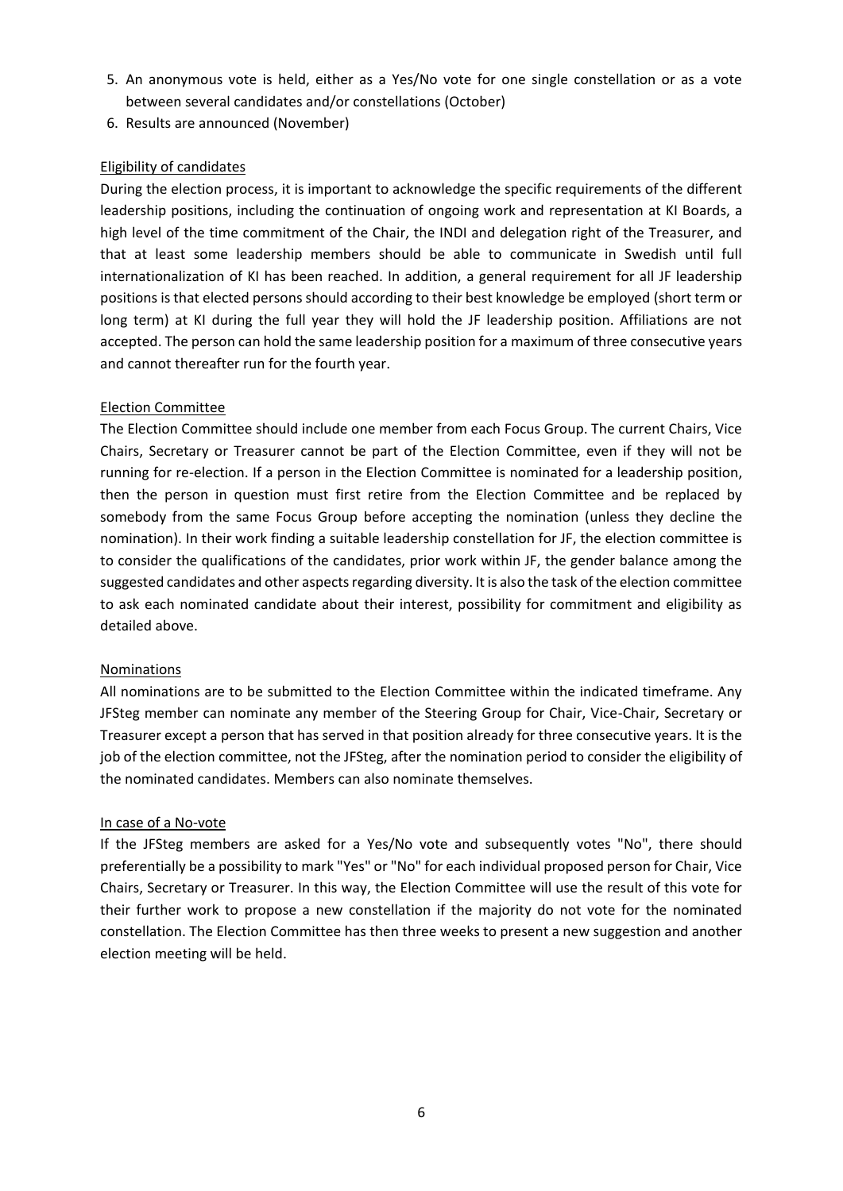- 5. An anonymous vote is held, either as a Yes/No vote for one single constellation or as a vote between several candidates and/or constellations (October)
- 6. Results are announced (November)

# Eligibility of candidates

During the election process, it is important to acknowledge the specific requirements of the different leadership positions, including the continuation of ongoing work and representation at KI Boards, a high level of the time commitment of the Chair, the INDI and delegation right of the Treasurer, and that at least some leadership members should be able to communicate in Swedish until full internationalization of KI has been reached. In addition, a general requirement for all JF leadership positions is that elected persons should according to their best knowledge be employed (short term or long term) at KI during the full year they will hold the JF leadership position. Affiliations are not accepted. The person can hold the same leadership position for a maximum of three consecutive years and cannot thereafter run for the fourth year.

# Election Committee

The Election Committee should include one member from each Focus Group. The current Chairs, Vice Chairs, Secretary or Treasurer cannot be part of the Election Committee, even if they will not be running for re-election. If a person in the Election Committee is nominated for a leadership position, then the person in question must first retire from the Election Committee and be replaced by somebody from the same Focus Group before accepting the nomination (unless they decline the nomination). In their work finding a suitable leadership constellation for JF, the election committee is to consider the qualifications of the candidates, prior work within JF, the gender balance among the suggested candidates and other aspects regarding diversity. It is also the task of the election committee to ask each nominated candidate about their interest, possibility for commitment and eligibility as detailed above.

# Nominations

All nominations are to be submitted to the Election Committee within the indicated timeframe. Any JFSteg member can nominate any member of the Steering Group for Chair, Vice-Chair, Secretary or Treasurer except a person that has served in that position already for three consecutive years. It is the job of the election committee, not the JFSteg, after the nomination period to consider the eligibility of the nominated candidates. Members can also nominate themselves.

# In case of a No-vote

If the JFSteg members are asked for a Yes/No vote and subsequently votes "No", there should preferentially be a possibility to mark "Yes" or "No" for each individual proposed person for Chair, Vice Chairs, Secretary or Treasurer. In this way, the Election Committee will use the result of this vote for their further work to propose a new constellation if the majority do not vote for the nominated constellation. The Election Committee has then three weeks to present a new suggestion and another election meeting will be held.